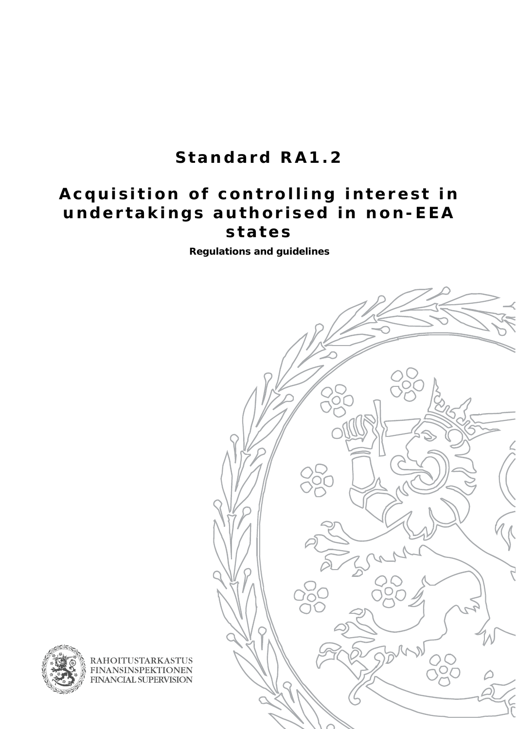# **Standard RA1.2**

## **Acquisition of controlling interest in undertakings authorised in non-EEA states**

**Regulations and guidelines** 





**RAHOITUSTARKASTUS FINANSINSPEKTIONEN** FINANCIAL SUPERVISION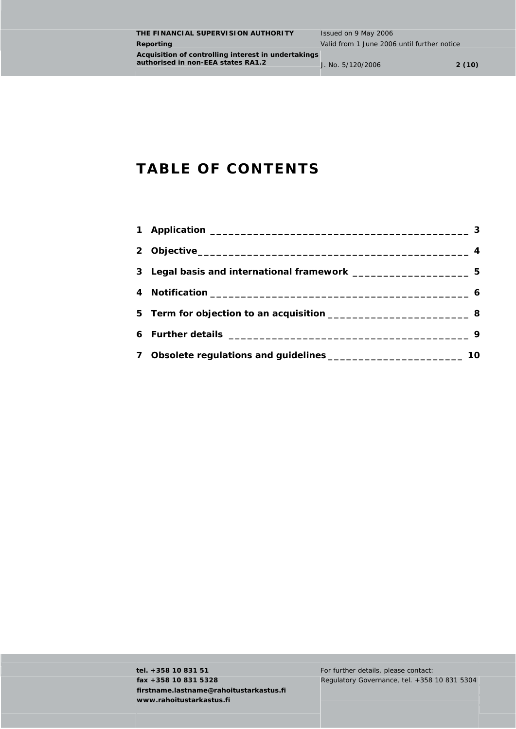### **TABLE OF CONTENTS**

| 3 Legal basis and international framework ________________________5 |    |
|---------------------------------------------------------------------|----|
|                                                                     |    |
|                                                                     |    |
|                                                                     |    |
|                                                                     | 10 |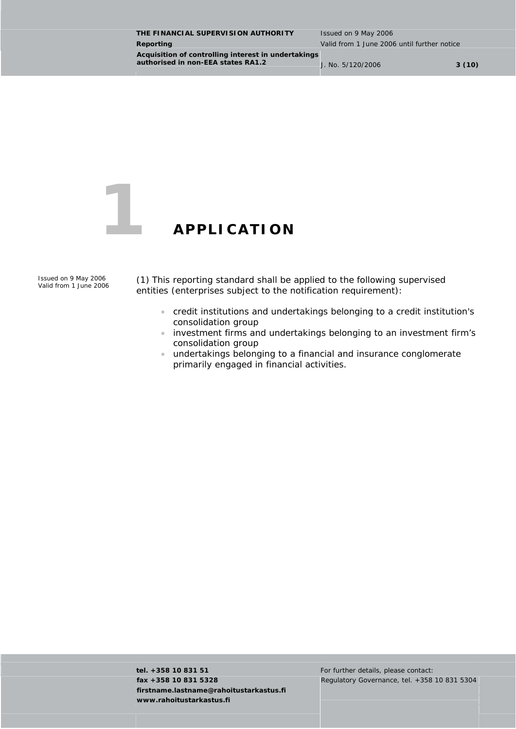<span id="page-2-0"></span>**THE FINANCIAL SUPERVISION AUTHORITY** Issued on 9 May 2006 **Reporting Reporting** *Reporting* **Valid from 1 June 2006 until further notice Acquisition of controlling interest in undertakings authorised in non-EEA states RA1.2 J. No. 5/120/2006 3 (10)** 



### **1 APPLICATION**

*Issued on 9 May 2006* 

*Valid from 1 June 2006* (1) This reporting standard shall be applied to the following supervised entities (enterprises subject to the notification requirement):

- credit institutions and undertakings belonging to a credit institution's consolidation group
- investment firms and undertakings belonging to an investment firm's consolidation group
- undertakings belonging to a financial and insurance conglomerate primarily engaged in financial activities.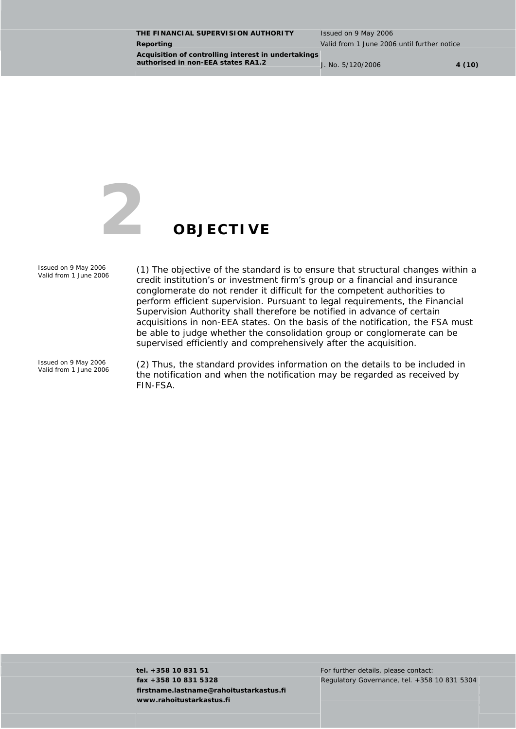<span id="page-3-0"></span>**THE FINANCIAL SUPERVISION AUTHORITY** Issued on 9 May 2006 **Reporting Valid from 1 June 2006 until further notice Acquisition of controlling interest in undertakings authorised in non-EEA states RA1.2** J. No. 5/120/2006 **4 (10)** 



*Issued on 9 May 2006* 

*Valid from 1 June 2006* (1) The objective of the standard is to ensure that structural changes within a credit institution's or investment firm's group or a financial and insurance conglomerate do not render it difficult for the competent authorities to perform efficient supervision. Pursuant to legal requirements, the Financial Supervision Authority shall therefore be notified in advance of certain acquisitions in non-EEA states. On the basis of the notification, the FSA must be able to judge whether the consolidation group or conglomerate can be supervised efficiently and comprehensively after the acquisition.

*Issued on 9 May 2006* 

*Valid from 1 June 2006* (2) Thus, the standard provides information on the details to be included in the notification and when the notification may be regarded as received by FIN-FSA.

**tel. +358 10 831 51** For further details, please contact: **fax +358 10 831 5328 firstname.lastname@rahoitustarkastus.fi www.rahoitustarkastus.fi** 

Regulatory Governance, tel. +358 10 831 5304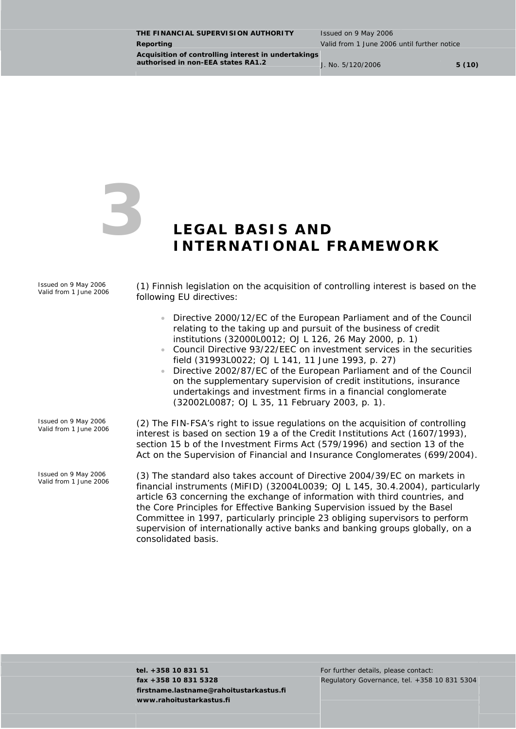<span id="page-4-0"></span>**THE FINANCIAL SUPERVISION AUTHORITY** Issued on 9 May 2006 **Reporting** Valid from 1 June 2006 until further notice **Acquisition of controlling interest in undertakings authorised in non-EEA states RA1.2** J. No. 5/120/2006 **5 (10)** 



### **3 LEGAL BASIS AND INTERNATIONAL FRAMEWORK**

*Issued on 9 May 2006* 

*Valid from 1 June 2006* (1) Finnish legislation on the acquisition of controlling interest is based on the following EU directives:

- Directive 2000/12/EC of the European Parliament and of the Council relating to the taking up and pursuit of the business of credit institutions (32000L0012; OJ L 126, 26 May 2000, p. 1)
- Council Directive 93/22/EEC on investment services in the securities field (31993L0022; OJ L 141, 11 June 1993, p. 27)
- Directive 2002/87/EC of the European Parliament and of the Council on the supplementary supervision of credit institutions, insurance undertakings and investment firms in a financial conglomerate (32002L0087; OJ L 35, 11 February 2003, p. 1).
- *Issued on 9 May 2006*

*Issued on 9 May 2006* 

*Valid from 1 June 2006* (2) The FIN-FSA's right to issue regulations on the acquisition of controlling interest is based on section 19 a of the Credit Institutions Act (1607/1993), section 15 b of the Investment Firms Act (579/1996) and section 13 of the Act on the Supervision of Financial and Insurance Conglomerates (699/2004).

> *Valid from 1 June 2006* (3) The standard also takes account of Directive 2004/39/EC on markets in financial instruments (MiFID) (32004L0039; OJ L 145, 30.4.2004), particularly article 63 concerning the exchange of information with third countries, and the *Core Principles for Effective Banking Supervision* issued by the Basel Committee in 1997, particularly principle 23 obliging supervisors to perform supervision of internationally active banks and banking groups globally, on a consolidated basis.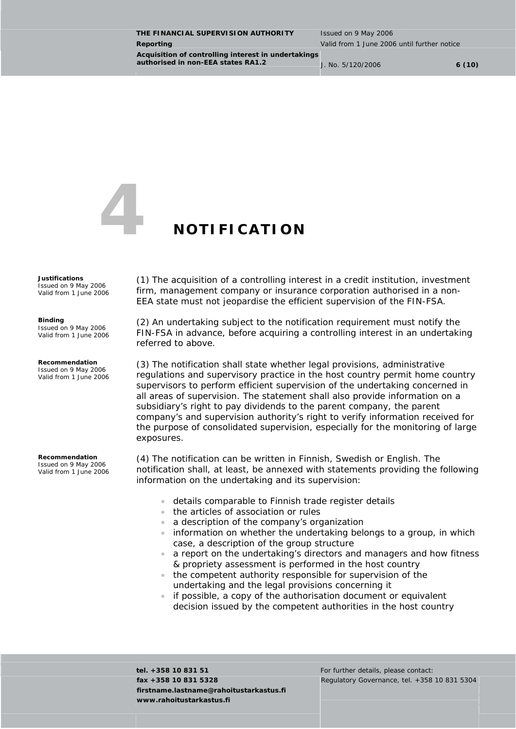<span id="page-5-0"></span>**THE FINANCIAL SUPERVISION AUTHORITY** Issued on 9 May 2006 **Reporting** Valid from 1 June 2006 until further notice **Acquisition of controlling interest in undertakings authorised in non-EEA states RA1.2** J. No. 5/120/2006 **6 (10)** 



### **4 NOTIFICATION**

### *Justifications*

*Issued on 9 May 2006 Valid from 1 June 2006* 

### *Binding*

*Issued on 9 May 2006 Valid from 1 June 2006* 

#### *Recommendation*

*Issued on 9 May 2006 Valid from 1 June 2006* 

*Recommendation Issued on 9 May 2006* 

*Valid from 1 June 2006* 

(1) The acquisition of a controlling interest in a credit institution, investment firm, management company or insurance corporation authorised in a non-EEA state must not jeopardise the efficient supervision of the FIN-FSA.

(2) An undertaking subject to the notification requirement must notify the FIN-FSA in advance, before acquiring a controlling interest in an undertaking referred to above.

(3) The notification shall state whether legal provisions, administrative regulations and supervisory practice in the host country permit home country supervisors to perform efficient supervision of the undertaking concerned in all areas of supervision. The statement shall also provide information on a subsidiary's right to pay dividends to the parent company, the parent company's and supervision authority's right to verify information received for the purpose of consolidated supervision, especially for the monitoring of large exposures.

(4) The notification can be written in Finnish, Swedish or English. The notification shall, at least, be annexed with statements providing the following information on the undertaking and its supervision:

- details comparable to Finnish trade register details
- the articles of association or rules
- a description of the company's organization
- information on whether the undertaking belongs to a group, in which case, a description of the group structure
- a report on the undertaking's directors and managers and how fitness & propriety assessment is performed in the host country
- the competent authority responsible for supervision of the undertaking and the legal provisions concerning it
- if possible, a copy of the authorisation document or equivalent decision issued by the competent authorities in the host country

**tel. +358 10 831 51 For further details, please contact: fax +358 10 831 5328 firstname.lastname@rahoitustarkastus.fi www.rahoitustarkastus.fi** 

Regulatory Governance, tel. +358 10 831 5304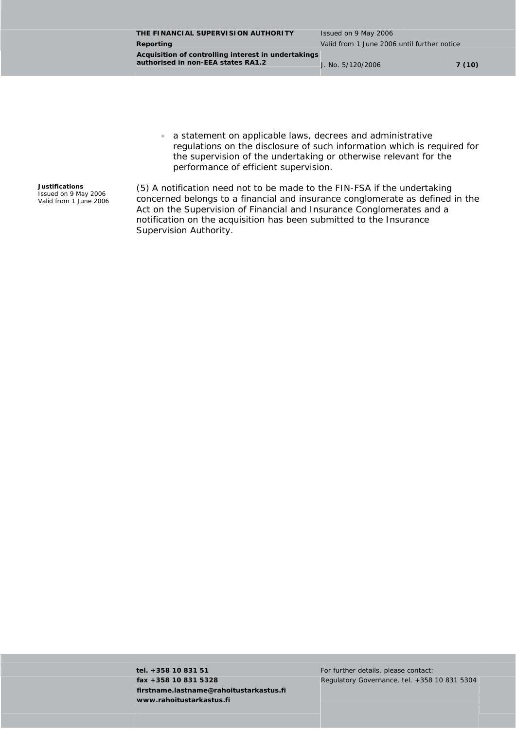**THE FINANCIAL SUPERVISION AUTHORITY** Issued on 9 May 2006 **Reporting Reporting** *Reporting* **Valid from 1 June 2006 until further notice Acquisition of controlling interest in undertakings authorised in non-EEA states RA1.2** J. No. 5/120/2006 **7 (10)** 

• a statement on applicable laws, decrees and administrative regulations on the disclosure of such information which is required for the supervision of the undertaking or otherwise relevant for the performance of efficient supervision.

*Justifications Issued on 9 May 2006 Valid from 1 June 2006*  (5) A notification need not to be made to the FIN-FSA if the undertaking concerned belongs to a financial and insurance conglomerate as defined in the Act on the Supervision of Financial and Insurance Conglomerates and a notification on the acquisition has been submitted to the Insurance Supervision Authority.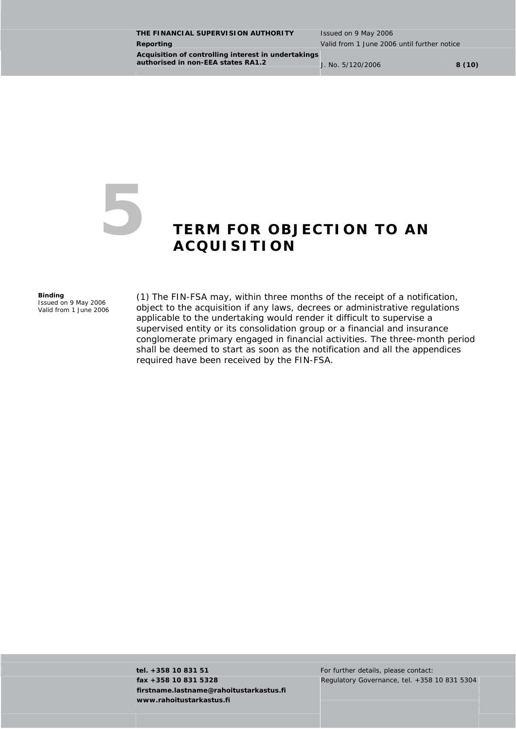<span id="page-7-0"></span>**THE FINANCIAL SUPERVISION AUTHORITY** Issued on 9 May 2006 **Reporting Valid from 1 June 2006 until further notice Acquisition of controlling interest in undertakings authorised in non-EEA states RA1.2 J. No. 5/120/2006 8 (10)** 

### **5 TERM FOR OBJECTION TO AN ACQUISITION**

#### *Binding*

*Issued on 9 May 2006 Valid from 1 June 2006*  (1) The FIN-FSA may, within three months of the receipt of a notification, object to the acquisition if any laws, decrees or administrative regulations applicable to the undertaking would render it difficult to supervise a supervised entity or its consolidation group or a financial and insurance conglomerate primary engaged in financial activities. The three-month period shall be deemed to start as soon as the notification and all the appendices required have been received by the FIN-FSA.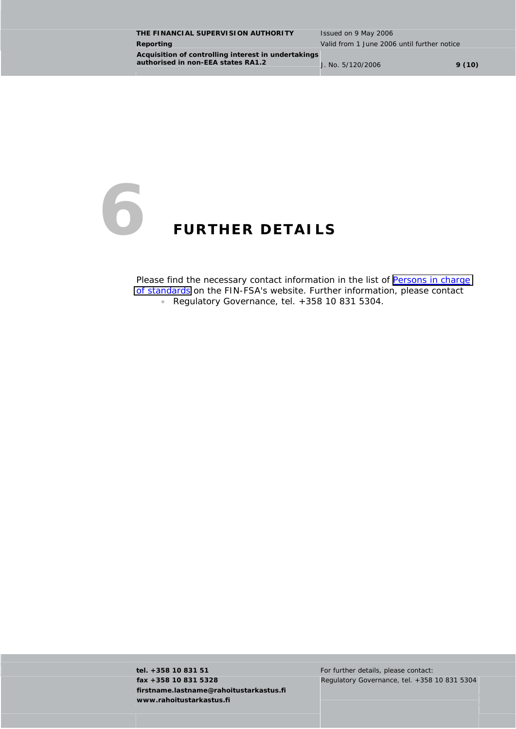<span id="page-8-0"></span>**THE FINANCIAL SUPERVISION AUTHORITY** Issued on 9 May 2006 **Reporting Reporting Reporting Reporting Valid from 1 June 2006 until further notice Acquisition of controlling interest in undertakings authorised in non-EEA states RA1.2** J. No. 5/120/2006 **9 (10)** 



Please find the necessary contact information in the list of Persons in charge [of standards](http://www.fin-fsa.fi/Eng/Regulation/FSA_standards/Persons_in_charge/etusivu.htm) on the FIN-FSA's website. Further information, please contact • Regulatory Governance, tel. +358 10 831 5304.

**tel. +358 10 831 51 For further details, please contact: fax +358 10 831 5328 firstname.lastname@rahoitustarkastus.fi www.rahoitustarkastus.fi** 

Regulatory Governance, tel. +358 10 831 5304